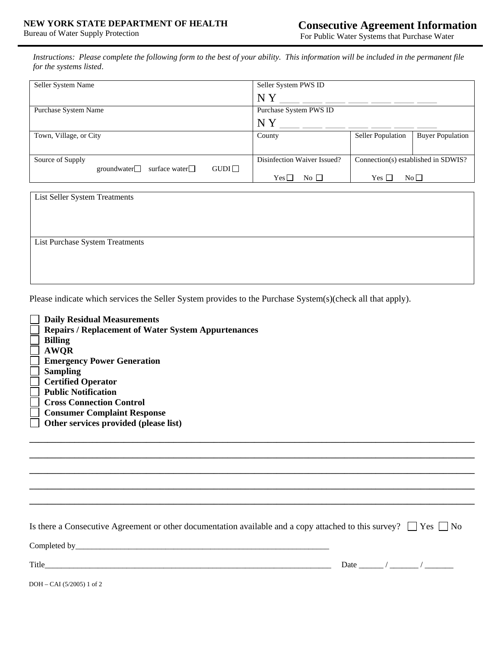*Instructions: Please complete the following form to the best of your ability. This information will be included in the permanent file for the systems listed*.

| Seller System Name                          | Seller System PWS ID        |                                     |                         |
|---------------------------------------------|-----------------------------|-------------------------------------|-------------------------|
|                                             | NY                          |                                     |                         |
| Purchase System Name                        | Purchase System PWS ID      |                                     |                         |
|                                             | N Y                         |                                     |                         |
| Town, Village, or City                      | County                      | Seller Population                   | <b>Buyer Population</b> |
|                                             |                             |                                     |                         |
| Source of Supply                            | Disinfection Waiver Issued? | Connection(s) established in SDWIS? |                         |
| GUDI<br>surface water $\Box$<br>groundwater |                             |                                     |                         |
|                                             | $No$ $\Box$<br>$Yes\square$ | Yes $\Box$                          | No <sub>1</sub>         |

| List Seller System Treatments   |  |  |  |
|---------------------------------|--|--|--|
|                                 |  |  |  |
|                                 |  |  |  |
|                                 |  |  |  |
| List Purchase System Treatments |  |  |  |
|                                 |  |  |  |
|                                 |  |  |  |
|                                 |  |  |  |

Please indicate which services the Seller System provides to the Purchase System(s)(check all that apply).

| <b>Daily Residual Measurements</b>                         |
|------------------------------------------------------------|
| <b>Repairs / Replacement of Water System Appurtenances</b> |
| <b>Billing</b>                                             |
| <b>AWOR</b>                                                |
| <b>Emergency Power Generation</b>                          |
| <b>Sampling</b>                                            |
| <b>Certified Operator</b>                                  |
| <b>Public Notification</b>                                 |
| <b>Cross Connection Control</b>                            |
| <b>Consumer Complaint Response</b>                         |
| Other services provided (please list)                      |
|                                                            |

Is there a Consecutive Agreement or other documentation available and a copy attached to this survey?  $\Box$  Yes  $\Box$  No

**\_\_\_\_\_\_\_\_\_\_\_\_\_\_\_\_\_\_\_\_\_\_\_\_\_\_\_\_\_\_\_\_\_\_\_\_\_\_\_\_\_\_\_\_\_\_\_\_\_\_\_\_\_\_\_\_\_\_\_\_\_\_\_\_\_\_\_\_\_\_\_\_\_\_\_\_\_\_\_\_\_\_\_\_\_\_\_\_\_\_\_\_\_\_\_\_\_\_\_ \_\_\_\_\_\_\_\_\_\_\_\_\_\_\_\_\_\_\_\_\_\_\_\_\_\_\_\_\_\_\_\_\_\_\_\_\_\_\_\_\_\_\_\_\_\_\_\_\_\_\_\_\_\_\_\_\_\_\_\_\_\_\_\_\_\_\_\_\_\_\_\_\_\_\_\_\_\_\_\_\_\_\_\_\_\_\_\_\_\_\_\_\_\_\_\_\_\_\_ \_\_\_\_\_\_\_\_\_\_\_\_\_\_\_\_\_\_\_\_\_\_\_\_\_\_\_\_\_\_\_\_\_\_\_\_\_\_\_\_\_\_\_\_\_\_\_\_\_\_\_\_\_\_\_\_\_\_\_\_\_\_\_\_\_\_\_\_\_\_\_\_\_\_\_\_\_\_\_\_\_\_\_\_\_\_\_\_\_\_\_\_\_\_\_\_\_\_\_ \_\_\_\_\_\_\_\_\_\_\_\_\_\_\_\_\_\_\_\_\_\_\_\_\_\_\_\_\_\_\_\_\_\_\_\_\_\_\_\_\_\_\_\_\_\_\_\_\_\_\_\_\_\_\_\_\_\_\_\_\_\_\_\_\_\_\_\_\_\_\_\_\_\_\_\_\_\_\_\_\_\_\_\_\_\_\_\_\_\_\_\_\_\_\_\_\_\_\_** 

Completed by\_\_\_\_\_\_\_\_\_\_\_\_\_\_\_\_\_\_\_\_\_\_\_\_\_\_\_\_\_\_\_\_\_\_\_\_\_\_\_\_\_\_\_\_\_\_\_\_\_\_\_\_\_\_\_\_\_\_\_\_\_\_

Title  $\blacksquare$